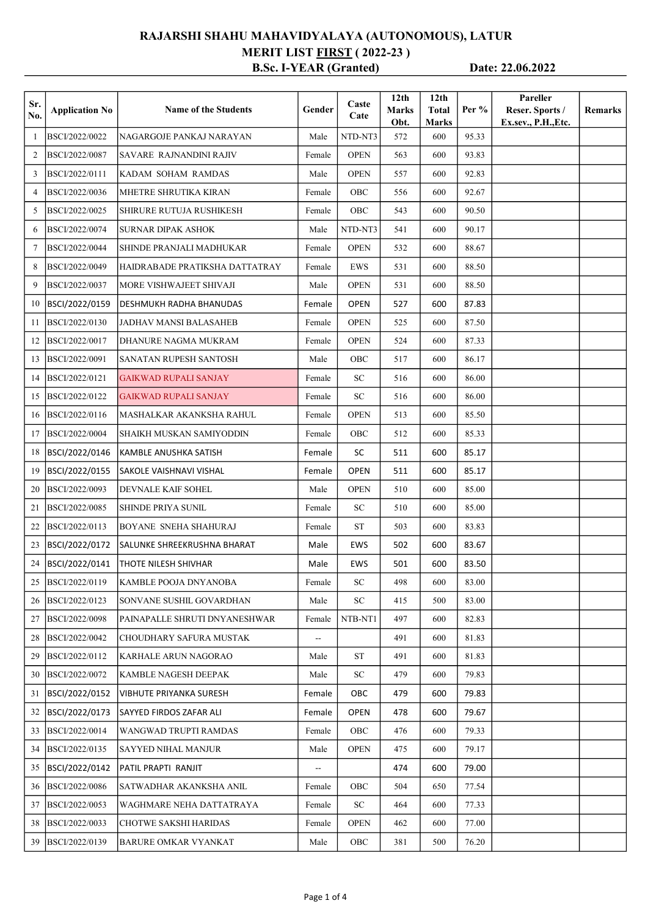## RAJARSHI SHAHU MAHAVIDYALAYA (AUTONOMOUS), LATUR MERIT LIST **FIRST** (2022-23) B.Sc. I-YEAR (Granted) Date: 22.06.2022

| Sr.<br>No. | <b>Application No</b> | <b>Name of the Students</b>    | Gender | Caste<br>Cate   | 12 <sub>th</sub><br><b>Marks</b><br>Obt. | 12 <sub>th</sub><br><b>Total</b><br><b>Marks</b> | Per $%$ | Pareller<br>Reser. Sports /<br>Ex.sev., P.H., Etc. | <b>Remarks</b> |
|------------|-----------------------|--------------------------------|--------|-----------------|------------------------------------------|--------------------------------------------------|---------|----------------------------------------------------|----------------|
| 1          | BSCI/2022/0022        | NAGARGOJE PANKAJ NARAYAN       | Male   | NTD-NT3         | 572                                      | 600                                              | 95.33   |                                                    |                |
| 2          | BSCI/2022/0087        | SAVARE RAJNANDINI RAJIV        | Female | <b>OPEN</b>     | 563                                      | 600                                              | 93.83   |                                                    |                |
| 3          | BSCI/2022/0111        | KADAM SOHAM RAMDAS             | Male   | <b>OPEN</b>     | 557                                      | 600                                              | 92.83   |                                                    |                |
| 4          | BSCI/2022/0036        | <b>MHETRE SHRUTIKA KIRAN</b>   | Female | OBC             | 556                                      | 600                                              | 92.67   |                                                    |                |
| 5          | BSCI/2022/0025        | SHIRURE RUTUJA RUSHIKESH       | Female | OBC             | 543                                      | 600                                              | 90.50   |                                                    |                |
| 6          | BSCI/2022/0074        | <b>SURNAR DIPAK ASHOK</b>      | Male   | NTD-NT3         | 541                                      | 600                                              | 90.17   |                                                    |                |
| $\tau$     | BSCI/2022/0044        | SHINDE PRANJALI MADHUKAR       | Female | <b>OPEN</b>     | 532                                      | 600                                              | 88.67   |                                                    |                |
| 8          | BSCI/2022/0049        | HAIDRABADE PRATIKSHA DATTATRAY | Female | EWS             | 531                                      | 600                                              | 88.50   |                                                    |                |
| 9          | BSCI/2022/0037        | MORE VISHWAJEET SHIVAJI        | Male   | <b>OPEN</b>     | 531                                      | 600                                              | 88.50   |                                                    |                |
| 10         | BSCI/2022/0159        | DESHMUKH RADHA BHANUDAS        | Female | <b>OPEN</b>     | 527                                      | 600                                              | 87.83   |                                                    |                |
| 11         | BSCI/2022/0130        | JADHAV MANSI BALASAHEB         | Female | <b>OPEN</b>     | 525                                      | 600                                              | 87.50   |                                                    |                |
| 12         | BSCI/2022/0017        | DHANURE NAGMA MUKRAM           | Female | <b>OPEN</b>     | 524                                      | 600                                              | 87.33   |                                                    |                |
| 13         | BSCI/2022/0091        | SANATAN RUPESH SANTOSH         | Male   | OBC             | 517                                      | 600                                              | 86.17   |                                                    |                |
| 14         | BSCI/2022/0121        | <b>GAIKWAD RUPALI SANJAY</b>   | Female | SC <sub>1</sub> | 516                                      | 600                                              | 86.00   |                                                    |                |
| 15         | BSCI/2022/0122        | <b>GAIKWAD RUPALI SANJAY</b>   | Female | SC              | 516                                      | 600                                              | 86.00   |                                                    |                |
| 16         | BSCI/2022/0116        | MASHALKAR AKANKSHA RAHUL       | Female | <b>OPEN</b>     | 513                                      | 600                                              | 85.50   |                                                    |                |
| 17         | BSCI/2022/0004        | SHAIKH MUSKAN SAMIYODDIN       | Female | OBC             | 512                                      | 600                                              | 85.33   |                                                    |                |
| 18         | BSCI/2022/0146        | KAMBLE ANUSHKA SATISH          | Female | <b>SC</b>       | 511                                      | 600                                              | 85.17   |                                                    |                |
| 19         | BSCI/2022/0155        | SAKOLE VAISHNAVI VISHAL        | Female | <b>OPEN</b>     | 511                                      | 600                                              | 85.17   |                                                    |                |
| 20         | BSCI/2022/0093        | DEVNALE KAIF SOHEL             | Male   | <b>OPEN</b>     | 510                                      | 600                                              | 85.00   |                                                    |                |
| 21         | BSCI/2022/0085        | <b>SHINDE PRIYA SUNIL</b>      | Female | SC              | 510                                      | 600                                              | 85.00   |                                                    |                |
| 22         | BSCI/2022/0113        | BOYANE SNEHA SHAHURAJ          | Female | ST              | 503                                      | 600                                              | 83.83   |                                                    |                |
| 23         | BSCI/2022/0172        | lSALUNKE SHREEKRUSHNA BHARAT   | Male   | <b>EWS</b>      | 502                                      | 600                                              | 83.67   |                                                    |                |
| 24         | BSCI/2022/0141        | THOTE NILESH SHIVHAR           | Male   | <b>EWS</b>      | 501                                      | 600                                              | 83.50   |                                                    |                |
| 25         | BSCI/2022/0119        | KAMBLE POOJA DNYANOBA          | Female | SC              | 498                                      | 600                                              | 83.00   |                                                    |                |
| 26         | BSCI/2022/0123        | SONVANE SUSHIL GOVARDHAN       | Male   | SC              | 415                                      | 500                                              | 83.00   |                                                    |                |
| 27         | BSCI/2022/0098        | PAINAPALLE SHRUTI DNYANESHWAR  | Female | NTB-NT1         | 497                                      | 600                                              | 82.83   |                                                    |                |
| 28         | BSCI/2022/0042        | CHOUDHARY SAFURA MUSTAK        | ÷-     |                 | 491                                      | 600                                              | 81.83   |                                                    |                |
| 29         | BSCI/2022/0112        | KARHALE ARUN NAGORAO           | Male   | <b>ST</b>       | 491                                      | 600                                              | 81.83   |                                                    |                |
| 30         | BSCI/2022/0072        | KAMBLE NAGESH DEEPAK           | Male   | SC              | 479                                      | 600                                              | 79.83   |                                                    |                |
| 31         | BSCI/2022/0152        | <b>VIBHUTE PRIYANKA SURESH</b> | Female | ОВС             | 479                                      | 600                                              | 79.83   |                                                    |                |
| 32         | BSCI/2022/0173        | SAYYED FIRDOS ZAFAR ALI        | Female | <b>OPEN</b>     | 478                                      | 600                                              | 79.67   |                                                    |                |
| 33         | BSCI/2022/0014        | WANGWAD TRUPTI RAMDAS          | Female | OBC             | 476                                      | 600                                              | 79.33   |                                                    |                |
| 34         | BSCI/2022/0135        | SAYYED NIHAL MANJUR            | Male   | <b>OPEN</b>     | 475                                      | 600                                              | 79.17   |                                                    |                |
| 35         | BSCI/2022/0142        | PATIL PRAPTI RANJIT            | --     |                 | 474                                      | 600                                              | 79.00   |                                                    |                |
| 36         | BSCI/2022/0086        | SATWADHAR AKANKSHA ANIL        | Female | OBC             | 504                                      | 650                                              | 77.54   |                                                    |                |
| 37         | BSCI/2022/0053        | WAGHMARE NEHA DATTATRAYA       | Female | SC              | 464                                      | 600                                              | 77.33   |                                                    |                |
| 38         | BSCI/2022/0033        | CHOTWE SAKSHI HARIDAS          | Female | <b>OPEN</b>     | 462                                      | 600                                              | 77.00   |                                                    |                |
|            | 39 BSCI/2022/0139     | <b>BARURE OMKAR VYANKAT</b>    | Male   | OBC             | 381                                      | 500                                              | 76.20   |                                                    |                |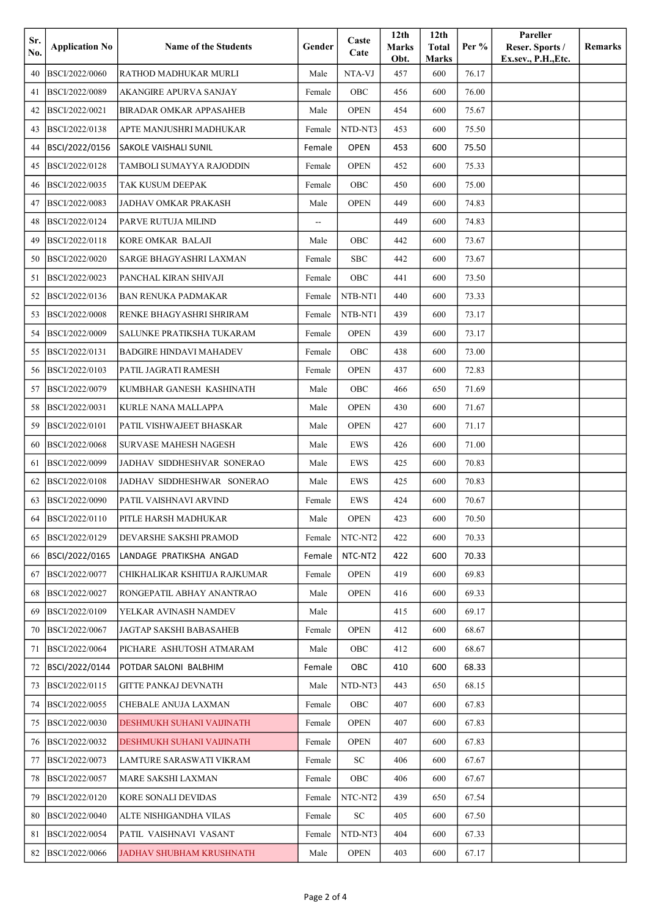| Sr. |                       | <b>Name of the Students</b>    | Gender | Caste        | 12 <sub>th</sub>     | 12 <sub>th</sub><br><b>Total</b> | Per $%$ | Pareller<br>Reser. Sports / | Remarks |
|-----|-----------------------|--------------------------------|--------|--------------|----------------------|----------------------------------|---------|-----------------------------|---------|
| No. | <b>Application No</b> |                                |        | Cate         | <b>Marks</b><br>Obt. | Marks                            |         | Ex.sev., P.H., Etc.         |         |
| 40  | BSCI/2022/0060        | RATHOD MADHUKAR MURLI          | Male   | NTA-VJ       | 457                  | 600                              | 76.17   |                             |         |
| 41  | BSCI/2022/0089        | AKANGIRE APURVA SANJAY         | Female | OBC          | 456                  | 600                              | 76.00   |                             |         |
| 42  | BSCI/2022/0021        | <b>BIRADAR OMKAR APPASAHEB</b> | Male   | <b>OPEN</b>  | 454                  | 600                              | 75.67   |                             |         |
| 43  | BSCI/2022/0138        | APTE MANJUSHRI MADHUKAR        | Female | NTD-NT3      | 453                  | 600                              | 75.50   |                             |         |
| 44  | BSCI/2022/0156        | <b>SAKOLE VAISHALI SUNIL</b>   | Female | <b>OPEN</b>  | 453                  | 600                              | 75.50   |                             |         |
| 45  | BSCI/2022/0128        | TAMBOLI SUMAYYA RAJODDIN       | Female | <b>OPEN</b>  | 452                  | 600                              | 75.33   |                             |         |
| 46  | BSCI/2022/0035        | TAK KUSUM DEEPAK               | Female | OBC          | 450                  | 600                              | 75.00   |                             |         |
| 47  | BSCI/2022/0083        | JADHAV OMKAR PRAKASH           | Male   | <b>OPEN</b>  | 449                  | 600                              | 74.83   |                             |         |
| 48  | BSCI/2022/0124        | PARVE RUTUJA MILIND            | --     |              | 449                  | 600                              | 74.83   |                             |         |
| 49  | BSCI/2022/0118        | KORE OMKAR BALAJI              | Male   | OBC          | 442                  | 600                              | 73.67   |                             |         |
| 50  | BSCI/2022/0020        | SARGE BHAGYASHRI LAXMAN        | Female | <b>SBC</b>   | 442                  | 600                              | 73.67   |                             |         |
| 51  | BSCI/2022/0023        | PANCHAL KIRAN SHIVAJI          | Female | OBC          | 441                  | 600                              | 73.50   |                             |         |
| 52  | BSCI/2022/0136        | BAN RENUKA PADMAKAR            | Female | NTB-NT1      | 440                  | 600                              | 73.33   |                             |         |
| 53  | BSCI/2022/0008        | RENKE BHAGYASHRI SHRIRAM       | Female | NTB-NT1      | 439                  | 600                              | 73.17   |                             |         |
| 54  | BSCI/2022/0009        | SALUNKE PRATIKSHA TUKARAM      | Female | <b>OPEN</b>  | 439                  | 600                              | 73.17   |                             |         |
| 55  | BSCI/2022/0131        | <b>BADGIRE HINDAVI MAHADEV</b> | Female | OBC          | 438                  | 600                              | 73.00   |                             |         |
| 56  | BSCI/2022/0103        | PATIL JAGRATI RAMESH           | Female | <b>OPEN</b>  | 437                  | 600                              | 72.83   |                             |         |
| 57  | BSCI/2022/0079        | KUMBHAR GANESH KASHINATH       | Male   | OBC          | 466                  | 650                              | 71.69   |                             |         |
| 58  | BSCI/2022/0031        | KURLE NANA MALLAPPA            | Male   | <b>OPEN</b>  | 430                  | 600                              | 71.67   |                             |         |
| 59  | BSCI/2022/0101        | PATIL VISHWAJEET BHASKAR       | Male   | <b>OPEN</b>  | 427                  | 600                              | 71.17   |                             |         |
| 60  | BSCI/2022/0068        | <b>SURVASE MAHESH NAGESH</b>   | Male   | EWS          | 426                  | 600                              | 71.00   |                             |         |
| 61  | BSCI/2022/0099        | JADHAV SIDDHESHVAR SONERAO     | Male   | EWS          | 425                  | 600                              | 70.83   |                             |         |
| 62  | BSCI/2022/0108        | JADHAV SIDDHESHWAR SONERAO     | Male   | EWS          | 425                  | 600                              | 70.83   |                             |         |
| 63  | BSCI/2022/0090        | PATIL VAISHNAVI ARVIND         | Female | EWS          | 424                  | 600                              | 70.67   |                             |         |
| 64  | BSCI/2022/0110        | PITLE HARSH MADHUKAR           | Male   | ${\rm OPEN}$ | 423                  | 600                              | 70.50   |                             |         |
| 65  | BSCI/2022/0129        | DEVARSHE SAKSHI PRAMOD         | Female | NTC-NT2      | 422                  | 600                              | 70.33   |                             |         |
| 66  | BSCI/2022/0165        | LANDAGE PRATIKSHA ANGAD        | Female | NTC-NT2      | 422                  | 600                              | 70.33   |                             |         |
| 67  | BSCI/2022/0077        | CHIKHALIKAR KSHITIJA RAJKUMAR  | Female | <b>OPEN</b>  | 419                  | 600                              | 69.83   |                             |         |
| 68  | BSCI/2022/0027        | RONGEPATIL ABHAY ANANTRAO      | Male   | <b>OPEN</b>  | 416                  | 600                              | 69.33   |                             |         |
| 69  | BSCI/2022/0109        | YELKAR AVINASH NAMDEV          | Male   |              | 415                  | 600                              | 69.17   |                             |         |
| 70  | BSCI/2022/0067        | JAGTAP SAKSHI BABASAHEB        | Female | <b>OPEN</b>  | 412                  | 600                              | 68.67   |                             |         |
| 71  | BSCI/2022/0064        | PICHARE ASHUTOSH ATMARAM       | Male   | OBC          | 412                  | 600                              | 68.67   |                             |         |
| 72  | BSCI/2022/0144        | POTDAR SALONI BALBHIM          | Female | OBC          | 410                  | 600                              | 68.33   |                             |         |
| 73  | BSCI/2022/0115        | GITTE PANKAJ DEVNATH           | Male   | NTD-NT3      | 443                  | 650                              | 68.15   |                             |         |
| 74  | BSCI/2022/0055        | CHEBALE ANUJA LAXMAN           | Female | OBC          | 407                  | 600                              | 67.83   |                             |         |
| 75  | BSCI/2022/0030        | DESHMUKH SUHANI VAIJINATH      | Female | <b>OPEN</b>  | 407                  | 600                              | 67.83   |                             |         |
| 76  | BSCI/2022/0032        | DESHMUKH SUHANI VAIJINATH      | Female | <b>OPEN</b>  | 407                  | 600                              | 67.83   |                             |         |
| 77  | BSCI/2022/0073        | LAMTURE SARASWATI VIKRAM       | Female | SC           | 406                  | 600                              | 67.67   |                             |         |
| 78  | BSCI/2022/0057        | MARE SAKSHI LAXMAN             | Female | OBC          | 406                  | 600                              | 67.67   |                             |         |
| 79  | BSCI/2022/0120        | KORE SONALI DEVIDAS            | Female | NTC-NT2      | 439                  | 650                              | 67.54   |                             |         |
| 80  | BSCI/2022/0040        | ALTE NISHIGANDHA VILAS         | Female | ${\rm SC}$   | 405                  | 600                              | 67.50   |                             |         |
| 81  | BSCI/2022/0054        | PATIL VAISHNAVI VASANT         | Female | NTD-NT3      | 404                  | 600                              | 67.33   |                             |         |
| 82  | BSCI/2022/0066        | JADHAV SHUBHAM KRUSHNATH       | Male   | <b>OPEN</b>  | 403                  | 600                              | 67.17   |                             |         |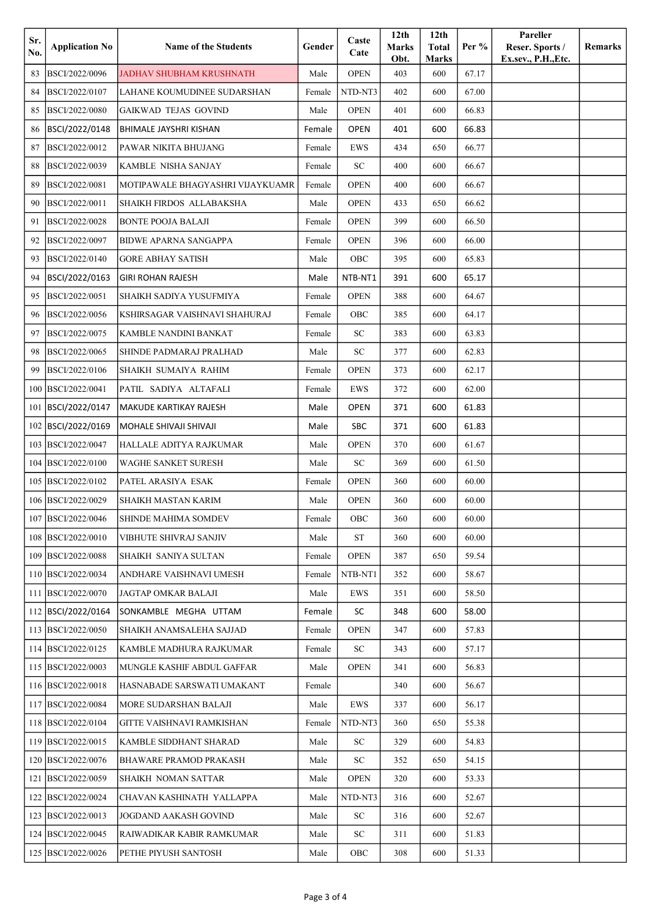| Sr.<br>No. | <b>Application No</b> | <b>Name of the Students</b>      | Gender | Caste<br>Cate | 12 <sub>th</sub><br>Marks<br>Obt. | 12 <sub>th</sub><br><b>Total</b><br>Marks | Per $%$ | Pareller<br>Reser. Sports /<br>Ex.sev., P.H., Etc. | Remarks |
|------------|-----------------------|----------------------------------|--------|---------------|-----------------------------------|-------------------------------------------|---------|----------------------------------------------------|---------|
| 83         | BSCI/2022/0096        | JADHAV SHUBHAM KRUSHNATH         | Male   | <b>OPEN</b>   | 403                               | 600                                       | 67.17   |                                                    |         |
| 84         | BSCI/2022/0107        | LAHANE KOUMUDINEE SUDARSHAN      | Female | NTD-NT3       | 402                               | 600                                       | 67.00   |                                                    |         |
| 85         | BSCI/2022/0080        | <b>GAIKWAD TEJAS GOVIND</b>      | Male   | <b>OPEN</b>   | 401                               | 600                                       | 66.83   |                                                    |         |
| 86         | BSCI/2022/0148        | BHIMALE JAYSHRI KISHAN           | Female | <b>OPEN</b>   | 401                               | 600                                       | 66.83   |                                                    |         |
| 87         | BSCI/2022/0012        | PAWAR NIKITA BHUJANG             | Female | EWS           | 434                               | 650                                       | 66.77   |                                                    |         |
| 88         | BSCI/2022/0039        | KAMBLE NISHA SANJAY              | Female | SC            | 400                               | 600                                       | 66.67   |                                                    |         |
| 89         | BSCI/2022/0081        | MOTIPAWALE BHAGYASHRI VIJAYKUAMR | Female | <b>OPEN</b>   | 400                               | 600                                       | 66.67   |                                                    |         |
| 90         | BSCI/2022/0011        | SHAIKH FIRDOS ALLABAKSHA         | Male   | <b>OPEN</b>   | 433                               | 650                                       | 66.62   |                                                    |         |
| 91         | BSCI/2022/0028        | <b>BONTE POOJA BALAJI</b>        | Female | <b>OPEN</b>   | 399                               | 600                                       | 66.50   |                                                    |         |
| 92         | BSCI/2022/0097        | <b>BIDWE APARNA SANGAPPA</b>     | Female | <b>OPEN</b>   | 396                               | 600                                       | 66.00   |                                                    |         |
| 93         | BSCI/2022/0140        | <b>GORE ABHAY SATISH</b>         | Male   | OBC           | 395                               | 600                                       | 65.83   |                                                    |         |
| 94         | BSCI/2022/0163        | <b>GIRI ROHAN RAJESH</b>         | Male   | NTB-NT1       | 391                               | 600                                       | 65.17   |                                                    |         |
| 95         | BSCI/2022/0051        | SHAIKH SADIYA YUSUFMIYA          | Female | <b>OPEN</b>   | 388                               | 600                                       | 64.67   |                                                    |         |
| 96         | BSCI/2022/0056        | KSHIRSAGAR VAISHNAVI SHAHURAJ    | Female | OBC           | 385                               | 600                                       | 64.17   |                                                    |         |
| 97         | BSCI/2022/0075        | KAMBLE NANDINI BANKAT            | Female | SC            | 383                               | 600                                       | 63.83   |                                                    |         |
| 98         | BSCI/2022/0065        | SHINDE PADMARAJ PRALHAD          | Male   | <b>SC</b>     | 377                               | 600                                       | 62.83   |                                                    |         |
| 99         | BSCI/2022/0106        | SHAIKH SUMAIYA RAHIM             | Female | <b>OPEN</b>   | 373                               | 600                                       | 62.17   |                                                    |         |
| 100        | BSCI/2022/0041        | PATIL SADIYA ALTAFALI            | Female | EWS           | 372                               | 600                                       | 62.00   |                                                    |         |
| 101        | BSCI/2022/0147        | MAKUDE KARTIKAY RAJESH           | Male   | <b>OPEN</b>   | 371                               | 600                                       | 61.83   |                                                    |         |
| 102        | BSCI/2022/0169        | MOHALE SHIVAJI SHIVAJI           | Male   | <b>SBC</b>    | 371                               | 600                                       | 61.83   |                                                    |         |
| 103        | BSCI/2022/0047        | HALLALE ADITYA RAJKUMAR          | Male   | <b>OPEN</b>   | 370                               | 600                                       | 61.67   |                                                    |         |
| 104        | BSCI/2022/0100        | WAGHE SANKET SURESH              | Male   | <b>SC</b>     | 369                               | 600                                       | 61.50   |                                                    |         |
| 105        | BSCI/2022/0102        | PATEL ARASIYA ESAK               | Female | <b>OPEN</b>   | 360                               | 600                                       | 60.00   |                                                    |         |
| 106        | BSCI/2022/0029        | SHAIKH MASTAN KARIM              | Male   | <b>OPEN</b>   | 360                               | 600                                       | 60.00   |                                                    |         |
|            | 107 BSCI/2022/0046    | SHINDE MAHIMA SOMDEV             | Female | OBC           | 360                               | 600                                       | 60.00   |                                                    |         |
|            | 108 BSCI/2022/0010    | VIBHUTE SHIVRAJ SANJIV           | Male   | ST            | 360                               | 600                                       | 60.00   |                                                    |         |
| 109        | BSCI/2022/0088        | SHAIKH SANIYA SULTAN             | Female | <b>OPEN</b>   | 387                               | 650                                       | 59.54   |                                                    |         |
| 110        | BSCI/2022/0034        | ANDHARE VAISHNAVI UMESH          | Female | NTB-NT1       | 352                               | 600                                       | 58.67   |                                                    |         |
| 111        | BSCI/2022/0070        | JAGTAP OMKAR BALAJI              | Male   | EWS           | 351                               | 600                                       | 58.50   |                                                    |         |
|            | 112   BSCI/2022/0164  | SONKAMBLE MEGHA UTTAM            | Female | SC            | 348                               | 600                                       | 58.00   |                                                    |         |
| 113        | BSCI/2022/0050        | SHAIKH ANAMSALEHA SAJJAD         | Female | <b>OPEN</b>   | 347                               | 600                                       | 57.83   |                                                    |         |
|            | 114 BSCI/2022/0125    | KAMBLE MADHURA RAJKUMAR          | Female | ${\rm SC}$    | 343                               | 600                                       | 57.17   |                                                    |         |
|            | 115 BSCI/2022/0003    | MUNGLE KASHIF ABDUL GAFFAR       | Male   | <b>OPEN</b>   | 341                               | 600                                       | 56.83   |                                                    |         |
|            | 116 BSCI/2022/0018    | HASNABADE SARSWATI UMAKANT       | Female |               | 340                               | 600                                       | 56.67   |                                                    |         |
| 117        | BSCI/2022/0084        | MORE SUDARSHAN BALAJI            | Male   | EWS           | 337                               | 600                                       | 56.17   |                                                    |         |
|            | 118 BSCI/2022/0104    | GITTE VAISHNAVI RAMKISHAN        | Female | NTD-NT3       | 360                               | 650                                       | 55.38   |                                                    |         |
| 119        | BSCI/2022/0015        | KAMBLE SIDDHANT SHARAD           | Male   | SC            | 329                               | 600                                       | 54.83   |                                                    |         |
| 120        | BSCI/2022/0076        | BHAWARE PRAMOD PRAKASH           | Male   | SC            | 352                               | 650                                       | 54.15   |                                                    |         |
| 121        | BSCI/2022/0059        | SHAIKH NOMAN SATTAR              | Male   | <b>OPEN</b>   | 320                               | 600                                       | 53.33   |                                                    |         |
| 122        | BSCI/2022/0024        | CHAVAN KASHINATH YALLAPPA        | Male   | NTD-NT3       | 316                               | 600                                       | 52.67   |                                                    |         |
| 123        | BSCI/2022/0013        | JOGDAND AAKASH GOVIND            | Male   | ${\rm SC}$    | 316                               | 600                                       | 52.67   |                                                    |         |
|            | 124 BSCI/2022/0045    | RAIWADIKAR KABIR RAMKUMAR        | Male   | SC            | 311                               | 600                                       | 51.83   |                                                    |         |
|            | 125 BSCI/2022/0026    | PETHE PIYUSH SANTOSH             | Male   | OBC           | 308                               | 600                                       | 51.33   |                                                    |         |